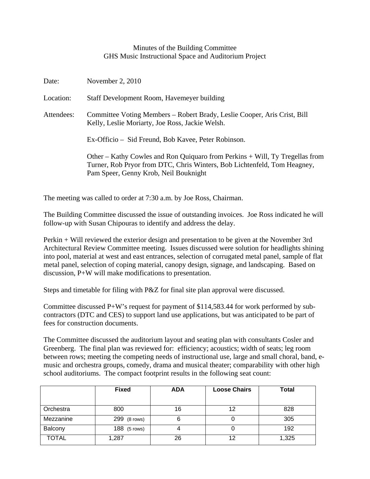## Minutes of the Building Committee GHS Music Instructional Space and Auditorium Project

| Date:      | November 2, $2010$                                                                                                                                                                                |  |  |  |
|------------|---------------------------------------------------------------------------------------------------------------------------------------------------------------------------------------------------|--|--|--|
| Location:  | Staff Development Room, Havemeyer building                                                                                                                                                        |  |  |  |
| Attendees: | Committee Voting Members – Robert Brady, Leslie Cooper, Aris Crist, Bill<br>Kelly, Leslie Moriarty, Joe Ross, Jackie Welsh.                                                                       |  |  |  |
|            | Ex-Officio – Sid Freund, Bob Kavee, Peter Robinson.                                                                                                                                               |  |  |  |
|            | Other – Kathy Cowles and Ron Quiquaro from Perkins + Will, Ty Tregellas from<br>Turner, Rob Pryor from DTC, Chris Winters, Bob Lichtenfeld, Tom Heagney,<br>Pam Speer, Genny Krob, Neil Bouknight |  |  |  |

The meeting was called to order at 7:30 a.m. by Joe Ross, Chairman.

The Building Committee discussed the issue of outstanding invoices. Joe Ross indicated he will follow-up with Susan Chipouras to identify and address the delay.

Perkin + Will reviewed the exterior design and presentation to be given at the November 3rd Architectural Review Committee meeting. Issues discussed were solution for headlights shining into pool, material at west and east entrances, selection of corrugated metal panel, sample of flat metal panel, selection of coping material, canopy design, signage, and landscaping. Based on discussion, P+W will make modifications to presentation.

Steps and timetable for filing with P&Z for final site plan approval were discussed.

Committee discussed P+W's request for payment of \$114,583.44 for work performed by subcontractors (DTC and CES) to support land use applications, but was anticipated to be part of fees for construction documents.

The Committee discussed the auditorium layout and seating plan with consultants Cosler and Greenberg. The final plan was reviewed for: efficiency; acoustics; width of seats; leg room between rows; meeting the competing needs of instructional use, large and small choral, band, emusic and orchestra groups, comedy, drama and musical theater; comparability with other high school auditoriums. The compact footprint results in the following seat count:

|              | <b>Fixed</b> | <b>ADA</b> | <b>Loose Chairs</b> | <b>Total</b> |
|--------------|--------------|------------|---------------------|--------------|
|              |              |            |                     |              |
| Orchestra    | 800          | 16         | 12                  | 828          |
| Mezzanine    | 299 (8 rows) | 6          |                     | 305          |
| Balcony      | 188 (5 rows) |            |                     | 192          |
| <b>TOTAL</b> | 1,287        | 26         | 12                  | 1,325        |